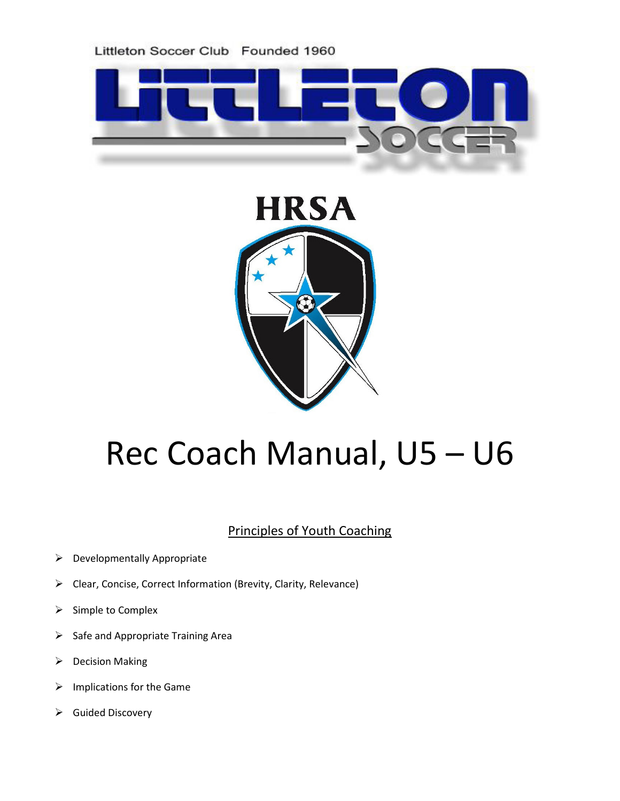



# Rec Coach Manual, U5 – U6

# Principles of Youth Coaching

- $\triangleright$  Developmentally Appropriate
- Clear, Concise, Correct Information (Brevity, Clarity, Relevance)
- $\triangleright$  Simple to Complex
- $\triangleright$  Safe and Appropriate Training Area
- $\triangleright$  Decision Making
- $\triangleright$  Implications for the Game
- $\triangleright$  Guided Discovery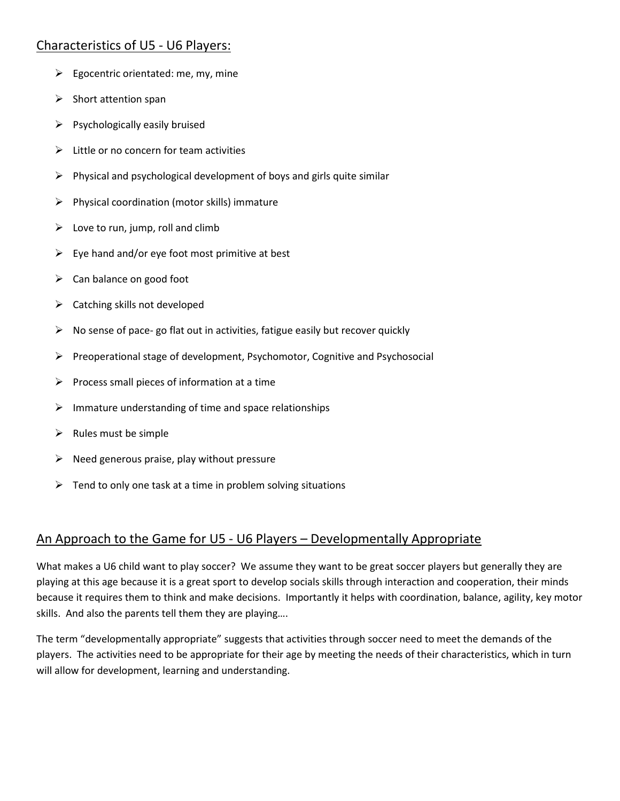## Characteristics of U5 - U6 Players:

- $\triangleright$  Egocentric orientated: me, my, mine
- $\triangleright$  Short attention span
- $\triangleright$  Psychologically easily bruised
- $\triangleright$  Little or no concern for team activities
- $\triangleright$  Physical and psychological development of boys and girls quite similar
- $\triangleright$  Physical coordination (motor skills) immature
- $\triangleright$  Love to run, jump, roll and climb
- $\triangleright$  Eye hand and/or eye foot most primitive at best
- $\triangleright$  Can balance on good foot
- $\triangleright$  Catching skills not developed
- $\triangleright$  No sense of pace- go flat out in activities, fatigue easily but recover quickly
- $\triangleright$  Preoperational stage of development, Psychomotor, Cognitive and Psychosocial
- $\triangleright$  Process small pieces of information at a time
- $\triangleright$  Immature understanding of time and space relationships
- $\triangleright$  Rules must be simple
- $\triangleright$  Need generous praise, play without pressure
- $\triangleright$  Tend to only one task at a time in problem solving situations

## An Approach to the Game for U5 - U6 Players – Developmentally Appropriate

What makes a U6 child want to play soccer? We assume they want to be great soccer players but generally they are playing at this age because it is a great sport to develop socials skills through interaction and cooperation, their minds because it requires them to think and make decisions. Importantly it helps with coordination, balance, agility, key motor skills. And also the parents tell them they are playing….

The term "developmentally appropriate" suggests that activities through soccer need to meet the demands of the players. The activities need to be appropriate for their age by meeting the needs of their characteristics, which in turn will allow for development, learning and understanding.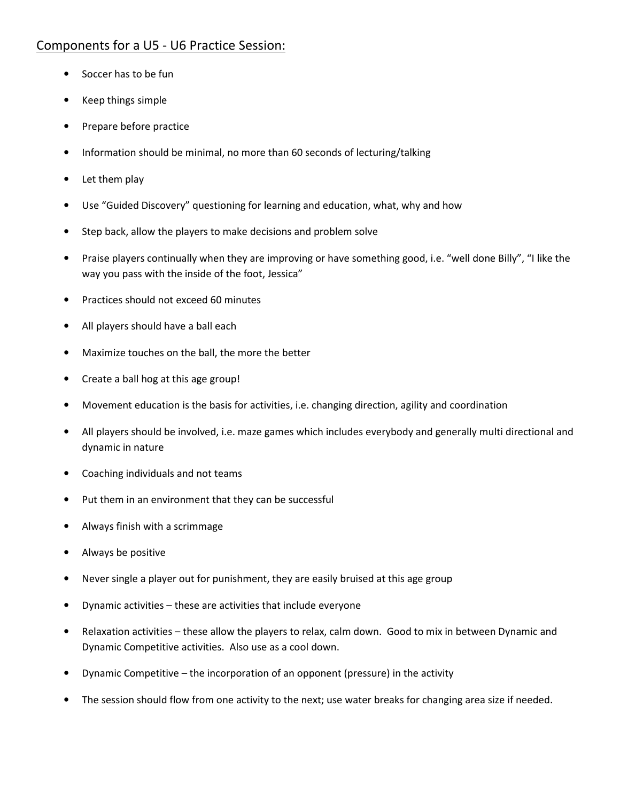## Components for a U5 - U6 Practice Session:

- Soccer has to be fun
- Keep things simple
- Prepare before practice
- Information should be minimal, no more than 60 seconds of lecturing/talking
- Let them play
- Use "Guided Discovery" questioning for learning and education, what, why and how
- Step back, allow the players to make decisions and problem solve
- Praise players continually when they are improving or have something good, i.e. "well done Billy", "I like the way you pass with the inside of the foot, Jessica"
- Practices should not exceed 60 minutes
- All players should have a ball each
- Maximize touches on the ball, the more the better
- Create a ball hog at this age group!
- Movement education is the basis for activities, i.e. changing direction, agility and coordination
- All players should be involved, i.e. maze games which includes everybody and generally multi directional and dynamic in nature
- Coaching individuals and not teams
- Put them in an environment that they can be successful
- Always finish with a scrimmage
- Always be positive
- Never single a player out for punishment, they are easily bruised at this age group
- Dynamic activities these are activities that include everyone
- Relaxation activities these allow the players to relax, calm down. Good to mix in between Dynamic and Dynamic Competitive activities. Also use as a cool down.
- Dynamic Competitive the incorporation of an opponent (pressure) in the activity
- The session should flow from one activity to the next; use water breaks for changing area size if needed.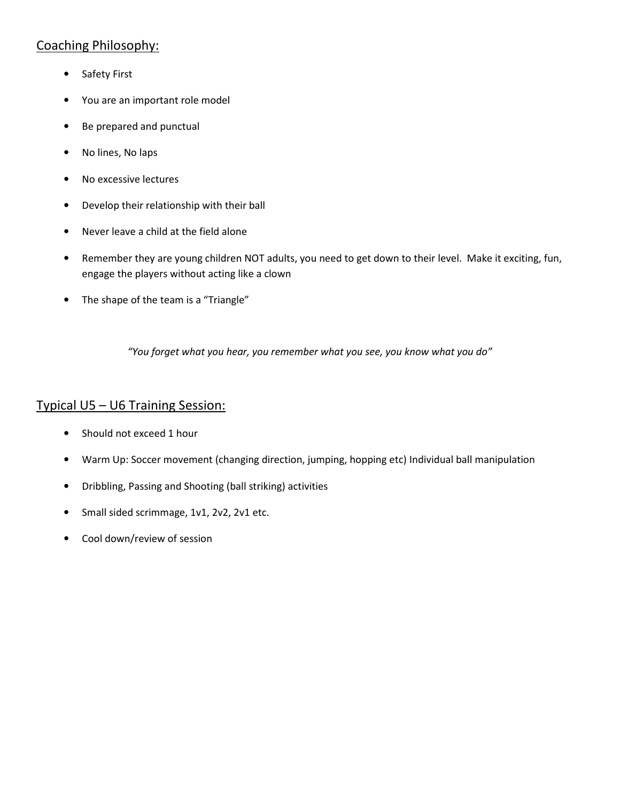# Coaching Philosophy:

- Safety First
- You are an important role model
- Be prepared and punctual
- No lines, No laps
- No excessive lectures
- Develop their relationship with their ball
- Never leave a child at the field alone
- Remember they are young children NOT adults, you need to get down to their level. Make it exciting, fun, engage the players without acting like a clown
- The shape of the team is a "Triangle"

"You forget what you hear, you remember what you see, you know what you do"

#### Typical U5 – U6 Training Session:

- Should not exceed 1 hour
- Warm Up: Soccer movement (changing direction, jumping, hopping etc) Individual ball manipulation
- Dribbling, Passing and Shooting (ball striking) activities
- Small sided scrimmage, 1v1, 2v2, 2v1 etc.
- Cool down/review of session